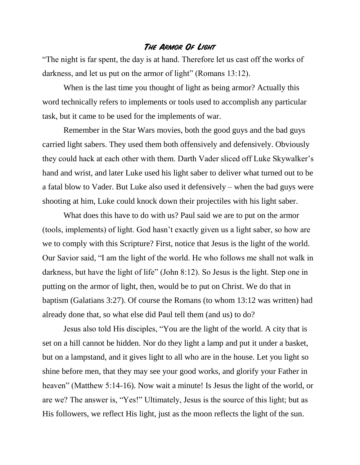## **The Armor Of Light**

"The night is far spent, the day is at hand. Therefore let us cast off the works of darkness, and let us put on the armor of light" (Romans 13:12).

When is the last time you thought of light as being armor? Actually this word technically refers to implements or tools used to accomplish any particular task, but it came to be used for the implements of war.

Remember in the Star Wars movies, both the good guys and the bad guys carried light sabers. They used them both offensively and defensively. Obviously they could hack at each other with them. Darth Vader sliced off Luke Skywalker's hand and wrist, and later Luke used his light saber to deliver what turned out to be a fatal blow to Vader. But Luke also used it defensively – when the bad guys were shooting at him, Luke could knock down their projectiles with his light saber.

What does this have to do with us? Paul said we are to put on the armor (tools, implements) of light. God hasn't exactly given us a light saber, so how are we to comply with this Scripture? First, notice that Jesus is the light of the world. Our Savior said, "I am the light of the world. He who follows me shall not walk in darkness, but have the light of life" (John 8:12). So Jesus is the light. Step one in putting on the armor of light, then, would be to put on Christ. We do that in baptism (Galatians 3:27). Of course the Romans (to whom 13:12 was written) had already done that, so what else did Paul tell them (and us) to do?

Jesus also told His disciples, "You are the light of the world. A city that is set on a hill cannot be hidden. Nor do they light a lamp and put it under a basket, but on a lampstand, and it gives light to all who are in the house. Let you light so shine before men, that they may see your good works, and glorify your Father in heaven" (Matthew 5:14-16). Now wait a minute! Is Jesus the light of the world, or are we? The answer is, "Yes!" Ultimately, Jesus is the source of this light; but as His followers, we reflect His light, just as the moon reflects the light of the sun.